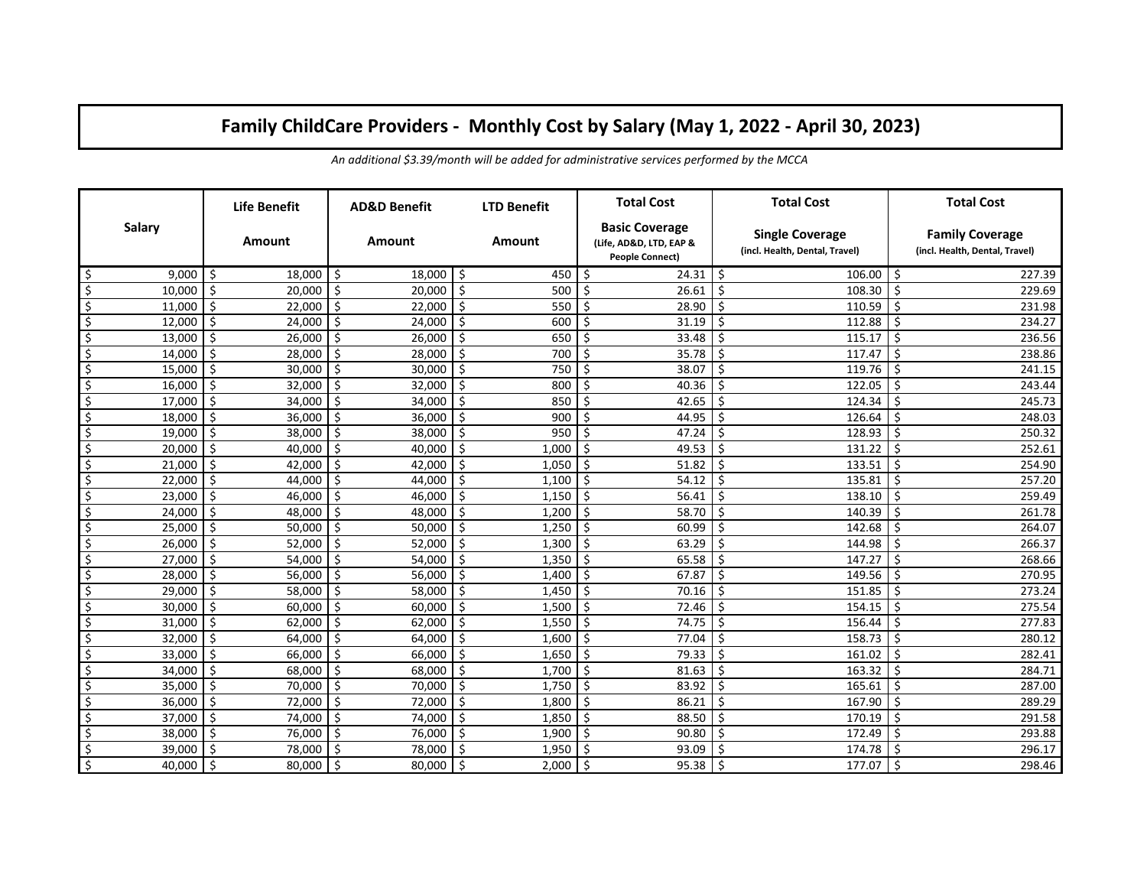## **Family ChildCare Providers - Monthly Cost by Salary (May 1, 2022 - April 30, 2023)**

|                          | <b>Life Benefit</b>      | <b>AD&amp;D Benefit</b> | <b>LTD Benefit</b>  | <b>Total Cost</b>                                                          | <b>Total Cost</b>                                        | <b>Total Cost</b>                                        |
|--------------------------|--------------------------|-------------------------|---------------------|----------------------------------------------------------------------------|----------------------------------------------------------|----------------------------------------------------------|
| Salary                   | Amount                   | Amount                  | Amount              | <b>Basic Coverage</b><br>(Life, AD&D, LTD, EAP &<br><b>People Connect)</b> | <b>Single Coverage</b><br>(incl. Health, Dental, Travel) | <b>Family Coverage</b><br>(incl. Health, Dental, Travel) |
| \$                       | -\$                      | -Ś                      | -\$                 | -\$                                                                        | $106.00$ S                                               | 227.39                                                   |
| 9.000                    | 18,000                   | 18,000                  | 450                 | 24.31                                                                      | 1 \$                                                     |                                                          |
| \$                       | -\$                      | -\$                     | $\ddot{\mathsf{S}}$ | \$                                                                         | Ś                                                        | Ś                                                        |
| 10,000                   | 20.000                   | 20,000                  | 500                 | 26.61                                                                      | 108.30                                                   | 229.69                                                   |
| \$                       | \$                       | -\$                     | -\$                 | \$                                                                         | Ś                                                        | Ś                                                        |
| 11,000                   | 22,000                   | 22,000                  | 550                 | 28.90                                                                      | 110.59                                                   | 231.98                                                   |
| \$                       | Ś.                       | -\$                     | -\$                 | \$                                                                         | Ś                                                        | Ś                                                        |
| 12,000                   | 24,000                   | 24,000                  | 600                 | 31.19                                                                      | 112.88                                                   | 234.27                                                   |
| \$                       | \$                       | -\$                     | \$                  | \$                                                                         | Ś                                                        | Ś                                                        |
| 13,000                   | 26,000                   | 26,000                  | 650                 | 33.48                                                                      | 115.17                                                   | 236.56                                                   |
| $\overline{\varsigma}$   | \$                       | \$                      | \$                  | \$                                                                         | Ś.                                                       | Ś                                                        |
| 14,000                   | 28,000                   | 28,000                  | 700                 | 35.78                                                                      | 117.47                                                   | 238.86                                                   |
| $\overline{\varsigma}$   | \$                       | \$                      | \$                  | \$                                                                         | \$                                                       | Ś                                                        |
| 15,000                   | 30,000                   | 30,000                  | 750                 | 38.07                                                                      | 119.76                                                   | 241.15                                                   |
| \$                       | \$                       | S,                      | \$                  | \$                                                                         | \$                                                       | Ś                                                        |
| 16,000                   | 32,000                   | 32,000                  | 800                 | 40.36                                                                      | 122.05                                                   | 243.44                                                   |
| \$                       | -\$                      | -\$                     | -\$                 | S,                                                                         | \$                                                       | Ś                                                        |
| 17,000                   | 34,000                   | 34,000                  | 850                 | 42.65                                                                      | 124.34                                                   | 245.73                                                   |
| \$                       | -\$                      | S,                      | -\$                 | \$                                                                         | \$                                                       | Ś                                                        |
| 18,000                   | 36,000                   | 36,000                  | 900                 | 44.95                                                                      | 126.64                                                   | 248.03                                                   |
| \$                       | \$                       | S,                      | $\ddot{\mathsf{S}}$ | \$                                                                         | Ś.                                                       | Ś                                                        |
| 19,000                   | 38,000                   | 38,000                  | 950                 | 47.24                                                                      | 128.93                                                   | 250.32                                                   |
| \$                       | \$                       | -\$                     | $\ddot{\mathsf{S}}$ | $\zeta$                                                                    | $\zeta$                                                  | \$                                                       |
| 20,000                   | 40,000                   | 40,000                  | 1,000               | 49.53                                                                      | 131.22                                                   | 252.61                                                   |
| \$                       | $\ddot{\mathsf{S}}$      | S,                      | $\ddot{\mathsf{S}}$ | $\zeta$                                                                    | Ś.                                                       | Ś                                                        |
| 21,000                   | 42,000                   | 42,000                  | 1,050               | 51.82                                                                      | 133.51                                                   | 254.90                                                   |
| $\overline{\mathcal{S}}$ | $\ddot{\mathsf{S}}$      | S,                      | $\ddot{\mathsf{S}}$ | $\zeta$                                                                    | Ś.                                                       | Ś                                                        |
| 22,000                   | 44,000                   | 44,000                  | 1,100               | 54.12                                                                      | 135.81                                                   | 257.20                                                   |
| $\overline{\mathcal{S}}$ | $\ddot{\mathsf{S}}$      | S,                      | $\ddot{\mathsf{S}}$ | S,                                                                         | Ś.                                                       | Ś                                                        |
| 23,000                   | 46,000                   | 46,000                  | 1,150               | 56.41                                                                      | 138.10                                                   | 259.49                                                   |
| \$                       | $\ddot{\mathsf{S}}$      | Ŝ.                      | \$                  | \$                                                                         | Ś.                                                       | Ś                                                        |
| 24,000                   | 48,000                   | 48,000                  | 1,200               | 58.70                                                                      | 140.39                                                   | 261.78                                                   |
| \$                       | $\ddot{\mathsf{S}}$      | $\zeta$                 | $\ddot{\mathsf{S}}$ | \$                                                                         | Ś.                                                       | Ś                                                        |
| 25,000                   | 50,000                   | 50,000                  | 1,250               | 60.99                                                                      | 142.68                                                   | 264.07                                                   |
| \$                       | $\ddot{\mathsf{S}}$      | $\zeta$                 | $\ddot{\mathsf{S}}$ | $\zeta$                                                                    | Ś.                                                       | \$                                                       |
| 26,000                   | 52,000                   | 52,000                  | 1,300               | 63.29                                                                      | 144.98                                                   | 266.37                                                   |
| \$                       | $\overline{\mathcal{S}}$ | $\zeta$                 | $\ddot{\mathsf{S}}$ | $\zeta$                                                                    | Ś.                                                       | Ś.                                                       |
| 27,000                   | 54,000                   | 54,000                  | 1,350               | 65.58                                                                      | 147.27                                                   | 268.66                                                   |
| \$                       | $\ddot{\mathsf{S}}$      | $\zeta$                 | $\ddot{\mathsf{S}}$ | \$                                                                         | Ś.                                                       | Ś.                                                       |
| 28,000                   | 56,000                   | 56,000                  | 1,400               | 67.87                                                                      | 149.56                                                   | 270.95                                                   |
| \$                       | \$                       | $\zeta$                 | \$                  | \$                                                                         | \$                                                       | \$                                                       |
| 29,000                   | 58,000                   | 58,000                  | 1,450               | 70.16                                                                      | 151.85                                                   | 273.24                                                   |
| \$                       | \$                       | Ŝ.                      | \$                  | Ŝ.                                                                         | Ś                                                        | Ś                                                        |
| 30,000                   | 60,000                   | 60,000                  | 1,500               | 72.46                                                                      | 154.15                                                   | 275.54                                                   |
| \$                       | -\$                      | -\$                     | \$                  | \$                                                                         | Ś.                                                       | Ś                                                        |
| 31,000                   | 62,000                   | 62,000                  | 1,550               | 74.75                                                                      | 156.44                                                   | 277.83                                                   |
| \$                       | $\zeta$                  | -\$                     | \$                  | \$                                                                         | 158.73                                                   | Ś.                                                       |
| 32,000                   | 64,000                   | 64,000                  | 1,600               | 77.04                                                                      | Ś.                                                       | 280.12                                                   |
| \$                       | $\zeta$                  | -\$                     | $\zeta$             | \$                                                                         | Ś.                                                       | Ś.                                                       |
| 33,000                   | 66,000                   | 66,000                  | 1,650               | 79.33                                                                      | 161.02                                                   | 282.41                                                   |
| \$                       | $\zeta$                  | -\$                     | $\zeta$             | \$                                                                         | Ś                                                        | Ś.                                                       |
| 34,000                   | 68,000                   | 68,000                  | 1,700               | 81.63                                                                      | 163.32                                                   | 284.71                                                   |
| \$                       | -\$                      | -\$                     | -\$                 | S.                                                                         | Ś                                                        | Ś                                                        |
| 35,000                   | 70,000                   | 70,000                  | 1,750               | 83.92                                                                      | 165.61                                                   | 287.00                                                   |
| \$                       | -\$                      | -\$                     | -\$                 | S.                                                                         | \$                                                       | Ś                                                        |
| 36,000                   | 72,000                   | 72,000                  | 1,800               | 86.21                                                                      | 167.90                                                   | 289.29                                                   |
| \$                       | $\zeta$                  | \$                      | $\zeta$             | $\zeta$                                                                    | $\zeta$                                                  | \$                                                       |
| 37,000                   | 74,000                   | 74,000                  | 1,850               | 88.50                                                                      | 170.19                                                   | 291.58                                                   |
| \$                       | $\ddot{\mathsf{S}}$      | \$                      | \$                  | \$                                                                         | \$                                                       | \$                                                       |
| 38,000                   | 76,000                   | 76,000                  | 1,900               | 90.80                                                                      | 172.49                                                   | 293.88                                                   |
| \$                       | \$                       | S.                      | -\$                 | \$                                                                         | Ś.                                                       | Ś.                                                       |
| 39,000                   | 78,000                   | 78,000                  | 1,950               | 93.09                                                                      | 174.78                                                   | 296.17                                                   |
| \$                       | Ś.                       | Ŝ.                      | Ŝ.                  | Ŝ.                                                                         | Ś                                                        | Ś                                                        |
| 40,000                   | 80,000                   | 80,000                  | 2,000               | 95.38                                                                      | 177.07                                                   | 298.46                                                   |

*An additional \$3.39/month will be added for administrative services performed by the MCCA*